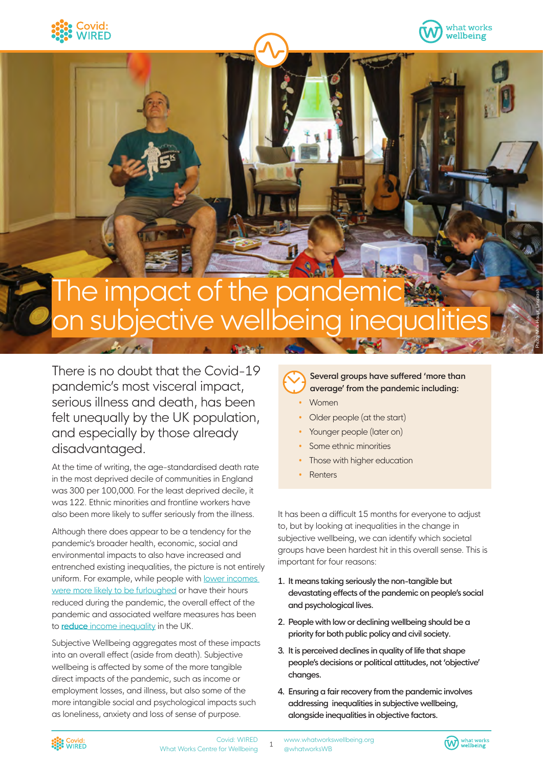



Photo: Mick Haupt, Unsplash

# The impact of the par n subjective wellbeing

There is no doubt that the Covid-19 pandemic's most visceral impact, serious illness and death, has been felt unequally by the UK population, and especially by those already disadvantaged.

At the time of writing, the age-standardised death rate in the most deprived decile of communities in England was 300 per 100,000. For the least deprived decile, it was 122. Ethnic minorities and frontline workers have also been more likely to suffer seriously from the illness.

Although there does appear to be a tendency for the pandemic's broader health, economic, social and environmental impacts to also have increased and entrenched existing inequalities, the picture is not entirely uniform. For example, while people with lower incomes [were more likely to be furloughed](https://www.ons.gov.uk/peoplepopulationandcommunity/birthsdeathsandmarriages/deaths/datasets/deathsduetocovid19bylocalareaanddeprivation) or have their hours reduced during the pandemic, the overall effect of the pandemic and associated welfare measures has been to **reduce** [income inequality](https://assets.publishing.service.gov.uk/government/uploads/system/uploads/attachment_data/file/966207/DA_Document_Budget_2021.pdf) in the UK.

Subjective Wellbeing aggregates most of these impacts into an overall effect (aside from death). Subjective wellbeing is affected by some of the more tangible direct impacts of the pandemic, such as income or employment losses, and illness, but also some of the more intangible social and psychological impacts such as loneliness, anxiety and loss of sense of purpose.

**Several groups have suffered 'more than average' from the pandemic including:**

- Women
- Older people (at the start)
- Younger people (later on)
- Some ethnic minorities
- Those with higher education
- **Renters**

It has been a difficult 15 months for everyone to adjust to, but by looking at inequalities in the change in subjective wellbeing, we can identify which societal groups have been hardest hit in this overall sense. This is important for four reasons:

- 1. It means taking seriously the non-tangible but devastating effects of the pandemic on people's social and psychological lives.
- 2. People with low or declining wellbeing should be a priority for both public policy and civil society.
- 3. It is perceived declines in quality of life that shape people's decisions or political attitudes, not 'objective' changes.
- 4. Ensuring a fair recovery from the pandemic involves addressing inequalities in subjective wellbeing, alongside inequalities in objective factors.



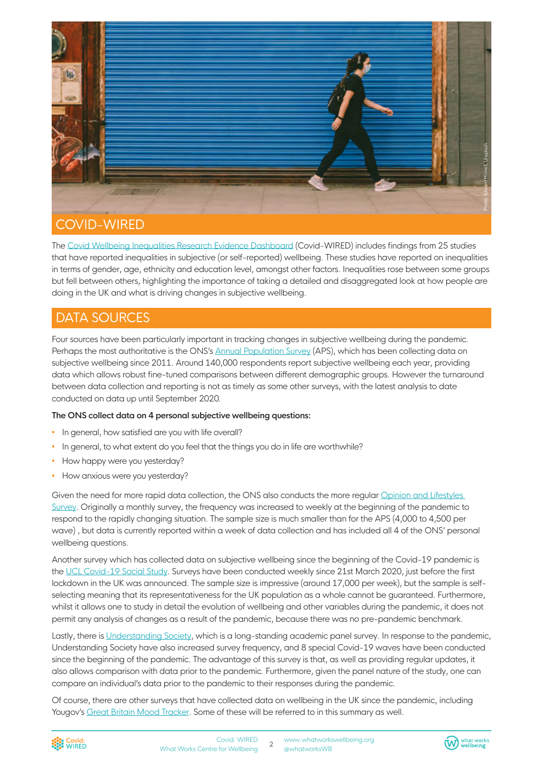

The [Covid Wellbeing Inequalities Research Evidence Dashboard](https://whatworkswellbeing.org/covid-19-inequalities-dashboard/) (Covid-WIRED) includes findings from 25 studies that have reported inequalities in subjective (or self-reported) wellbeing. These studies have reported on inequalities in terms of gender, age, ethnicity and education level, amongst other factors. Inequalities rose between some groups but fell between others, highlighting the importance of taking a detailed and disaggregated look at how people are doing in the UK and what is driving changes in subjective wellbeing.

# DATA SOURCES

Four sources have been particularly important in tracking changes in subjective wellbeing during the pandemic. Perhaps the most authoritative is the ONS's [Annual Population Survey](https://www.ons.gov.uk/peoplepopulationandcommunity/wellbeing/datasets/quarterlypersonalwellbeingestimatesnonseasonallyadjusted) (APS), which has been collecting data on subjective wellbeing since 2011. Around 140,000 respondents report subjective wellbeing each year, providing data which allows robust fine-tuned comparisons between different demographic groups. However the turnaround between data collection and reporting is not as timely as some other surveys, with the latest analysis to date conducted on data up until September 2020.

#### **The ONS collect data on 4 personal subjective wellbeing questions:**

- In general, how satisfied are you with life overall?
- In general, to what extent do you feel that the things you do in life are worthwhile?
- How happy were you yesterday?
- How anxious were you yesterday?

Given the need for more rapid data collection, the ONS also conducts the more regular [Opinion and Lifestyles](https://www.ons.gov.uk/peoplepopulationandcommunity/healthandsocialcare/healthandwellbeing/bulletins/coronavirusandthesocialimpactsongreatbritain/11june2021)  [Survey.](https://www.ons.gov.uk/peoplepopulationandcommunity/healthandsocialcare/healthandwellbeing/bulletins/coronavirusandthesocialimpactsongreatbritain/11june2021) Originally a monthly survey, the frequency was increased to weekly at the beginning of the pandemic to respond to the rapidly changing situation. The sample size is much smaller than for the APS (4,000 to 4,500 per wave) , but data is currently reported within a week of data collection and has included all 4 of the ONS' personal wellbeing questions.

Another survey which has collected data on subjective wellbeing since the beginning of the Covid-19 pandemic is the [UCL Covid-19 Social Study](https://www.covidsocialstudy.org/results). Surveys have been conducted weekly since 21st March 2020, just before the first lockdown in the UK was announced. The sample size is impressive (around 17,000 per week), but the sample is selfselecting meaning that its representativeness for the UK population as a whole cannot be guaranteed. Furthermore, whilst it allows one to study in detail the evolution of wellbeing and other variables during the pandemic, it does not permit any analysis of changes as a result of the pandemic, because there was no pre-pandemic benchmark.

Lastly, there is [Understanding Society,](https://www.understandingsociety.ac.uk/) which is a long-standing academic panel survey. In response to the pandemic, Understanding Society have also increased survey frequency, and 8 special Covid-19 waves have been conducted since the beginning of the pandemic. The advantage of this survey is that, as well as providing regular updates, it also allows comparison with data prior to the pandemic. Furthermore, given the panel nature of the study, one can compare an individual's data prior to the pandemic to their responses during the pandemic.

Of course, there are other surveys that have collected data on wellbeing in the UK since the pandemic, including Yougov's [Great Britain Mood Tracker](https://yougov.co.uk/topics/science/trackers/britains-mood-measured-weekly). Some of these will be referred to in this summary as well.



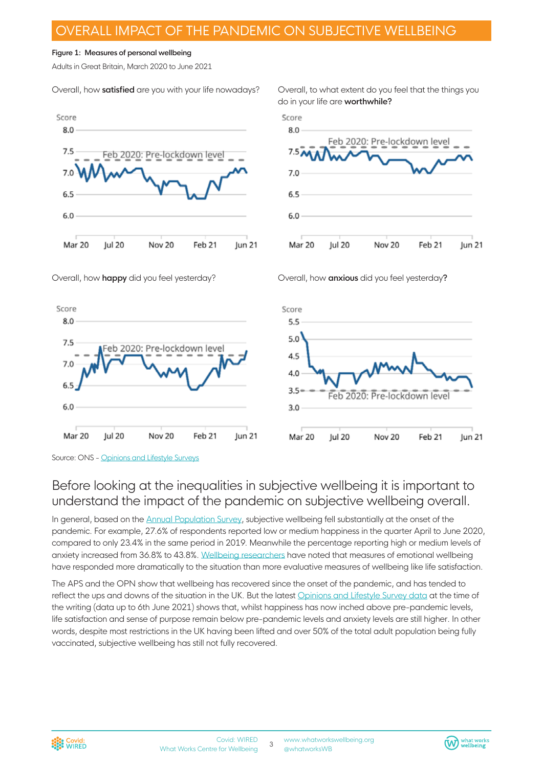### OVERALL IMPACT OF THE PANDEMIC ON SUBJECTIVE WELLBEING

#### **Figure 1: Measures of personal wellbeing**

Adults in Great Britain, March 2020 to June 2021

Overall, how **satisfied** are you with your life nowadays?



Overall, to what extent do you feel that the things you do in your life are **worthwhile?**



Overall, how **happy** did you feel yesterday?







### Before looking at the inequalities in subjective wellbeing it is important to understand the impact of the pandemic on subjective wellbeing overall.

In general, based on the [Annual Population Su](https://www.ons.gov.uk/peoplepopulationandcommunity/wellbeing/datasets/quarterlypersonalwellbeingestimatesnonseasonallyadjusted)rvey, subjective wellbeing fell substantially at the onset of the pandemic. For example, 27.6% of respondents reported low or medium happiness in the quarter April to June 2020, compared to only 23.4% in the same period in 2019. Meanwhile the percentage reporting high or medium levels of anxiety increased from 36.8% to 43.8%. [Wellbeing researchers](https://worldhappiness.report/ed/2021/overview-life-under-covid-19/) have noted that measures of emotional wellbeing have responded more dramatically to the situation than more evaluative measures of wellbeing like life satisfaction.

The APS and the OPN show that wellbeing has recovered since the onset of the pandemic, and has tended to reflect the ups and downs of the situation in the UK. But the latest [Opinions and Lifestyle Survey data](https://www.ons.gov.uk/peoplepopulationandcommunity/healthandsocialcare/healthandwellbeing/bulletins/coronavirusandthesocialimpactsongreatbritain/11june2021) at the time of the writing (data up to 6th June 2021) shows that, whilst happiness has now inched above pre-pandemic levels, life satisfaction and sense of purpose remain below pre-pandemic levels and anxiety levels are still higher. In other words, despite most restrictions in the UK having been lifted and over 50% of the total adult population being fully vaccinated, subjective wellbeing has still not fully recovered.



Source: ONS - [Opinions and Lifestyle Surveys](https://www.ons.gov.uk/peoplepopulationandcommunity/healthandsocialcare/healthandwellbeing/bulletins/coronavirusandthesocialimpactsongreatbritain/11june2021)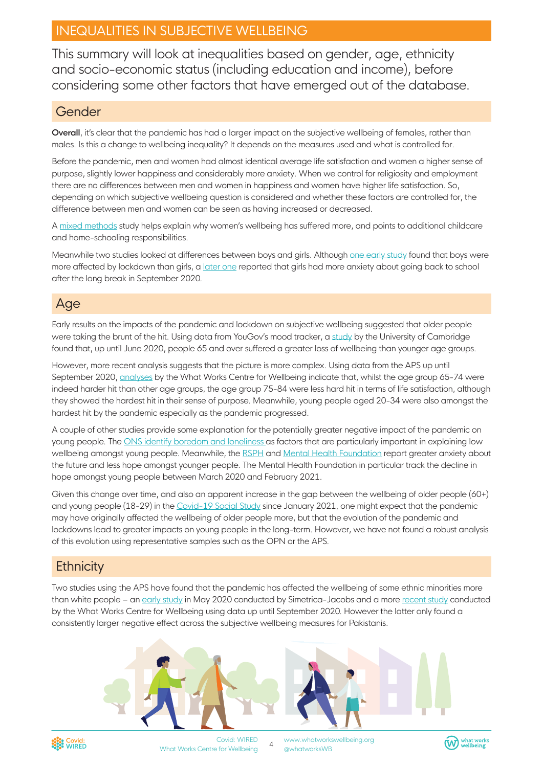# INEQUALITIES IN SUBJECTIVE WELLBEING

This summary will look at inequalities based on gender, age, ethnicity and socio-economic status (including education and income), before considering some other factors that have emerged out of the database.

#### Gender

**Overall**, it's clear that the pandemic has had a larger impact on the subjective wellbeing of females, rather than males. Is this a change to wellbeing inequality? It depends on the measures used and what is controlled for.

Before the pandemic, men and women had almost identical average life satisfaction and women a higher sense of purpose, slightly lower happiness and considerably more anxiety. When we control for religiosity and employment there are no differences between men and women in happiness and women have higher life satisfaction. So, depending on which subjective wellbeing question is considered and whether these factors are controlled for, the difference between men and women can be seen as having increased or decreased.

A [mixed methods](https://www.bennettinstitute.cam.ac.uk/media/uploads/files/Happiness_under_Lockdown.pdf) study helps explain why women's wellbeing has suffered more, and points to additional childcare and home-schooling responsibilities.

Meanwhile two studies looked at differences between boys and girls. Although [one early study](https://www.schooldash.com/blog-2005.html#20200527) found that boys were more affected by lockdown than girls, a [later one](https://impacted.org.uk/covid-19) reported that girls had more anxiety about going back to school after the long break in September 2020.

# Age

Early results on the impacts of the pandemic and lockdown on subjective wellbeing suggested that older people were taking the brunt of the hit. Using data from YouGov's mood tracker, a [study](https://www.bennettinstitute.cam.ac.uk/media/uploads/files/Happiness_under_Lockdown.pdf) by the University of Cambridge found that, up until June 2020, people 65 and over suffered a greater loss of wellbeing than younger age groups.

However, more recent analysis suggests that the picture is more complex. Using data from the APS up until September 2020, [analyses](https://whatworkswellbeing.org/resources/wellbeing-and-age-the-triple-dip/) by the What Works Centre for Wellbeing indicate that, whilst the age group 65-74 were indeed harder hit than other age groups, the age group 75-84 were less hard hit in terms of life satisfaction, although they showed the hardest hit in their sense of purpose. Meanwhile, young people aged 20-34 were also amongst the hardest hit by the pandemic especially as the pandemic progressed.

A couple of other studies provide some explanation for the potentially greater negative impact of the pandemic on young people. The [ONS identify boredom and loneliness](https://www.ons.gov.uk/peoplepopulationandcommunity/birthsdeathsandmarriages/ageing/articles/coronavirusandthesocialimpactsonyoungpeopleingreatbritain/3aprilto10may2020) as factors that are particularly important in explaining low wellbeing amongst young people. Meanwhile, the [RSPH](https://www.rsph.org.uk/about-us/news/rsph-calls-for-more-mental-health-support-for-young-people-in-lockdown.html) and [Mental Health Foundation](https://www.mentalhealth.org.uk/research-and-policies/wave-10-late-february-2021) report greater anxiety about the future and less hope amongst younger people. The Mental Health Foundation in particular track the decline in hope amongst young people between March 2020 and February 2021.

Given this change over time, and also an apparent increase in the gap between the wellbeing of older people (60+) and young people (18-29) in the [Covid-19 Social Study](https://www.covidsocialstudy.org/results) since January 2021, one might expect that the pandemic may have originally affected the wellbeing of older people more, but that the evolution of the pandemic and lockdowns lead to greater impacts on young people in the long-term. However, we have not found a robust analysis of this evolution using representative samples such as the OPN or the APS.

# **Ethnicity**

Two studies using the APS have found that the pandemic has affected the wellbeing of some ethnic minorities more than white people – an [early study](https://www.jacobs.com/sites/default/files/2020-05/jacobs-wellbeing-costs-of-covid-19-uk.pdf) in May 2020 conducted by Simetrica-Jacobs and a more [recent study](https://whatworkswellbeing.org/resources/wellbeing-and-employment-while-working-is-good-for-wellbeing-retiring-is-better/?mc_cid=8686220730&mc_eid=8296a83eec) conducted by the What Works Centre for Wellbeing using data up until September 2020. However the latter only found a consistently larger negative effect across the subjective wellbeing measures for Pakistanis.





Covid: WIRED What Works Centre for Wellbeing